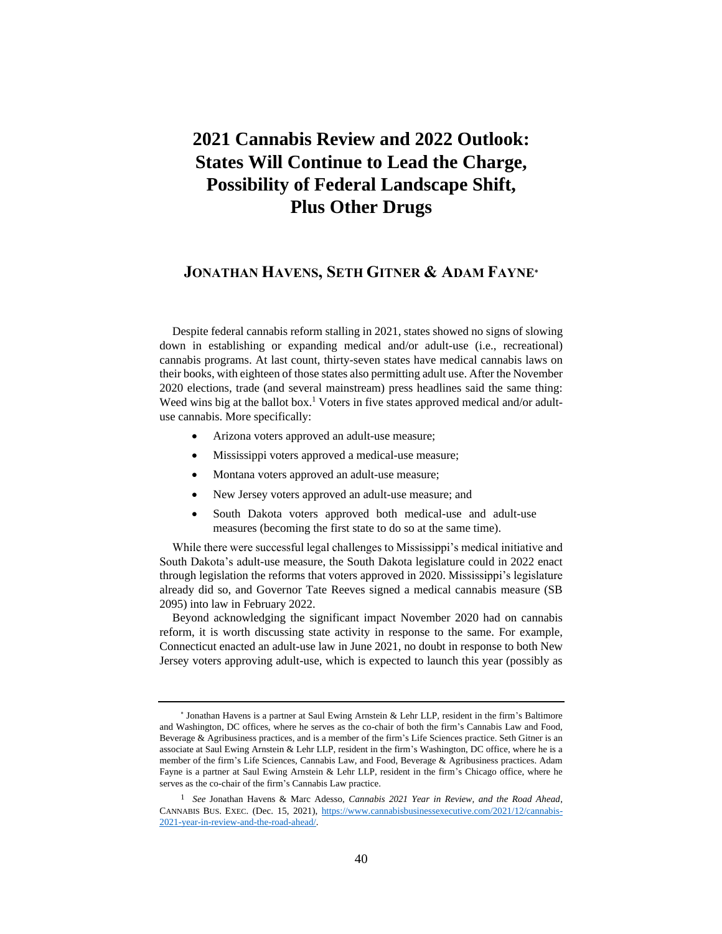## **2021 Cannabis Review and 2022 Outlook: States Will Continue to Lead the Charge, Possibility of Federal Landscape Shift, Plus Other Drugs**

## **JONATHAN HAVENS, SETH GITNER & ADAM FAYNE**

Despite federal cannabis reform stalling in 2021, states showed no signs of slowing down in establishing or expanding medical and/or adult-use (i.e., recreational) cannabis programs. At last count, thirty-seven states have medical cannabis laws on their books, with eighteen of those states also permitting adult use. After the November 2020 elections, trade (and several mainstream) press headlines said the same thing: Weed wins big at the ballot box.<sup>1</sup> Voters in five states approved medical and/or adultuse cannabis. More specifically:

- Arizona voters approved an adult-use measure;
- Mississippi voters approved a medical-use measure;
- Montana voters approved an adult-use measure;
- New Jersey voters approved an adult-use measure; and
- South Dakota voters approved both medical-use and adult-use measures (becoming the first state to do so at the same time).

While there were successful legal challenges to Mississippi's medical initiative and South Dakota's adult-use measure, the South Dakota legislature could in 2022 enact through legislation the reforms that voters approved in 2020. Mississippi's legislature already did so, and Governor Tate Reeves signed a medical cannabis measure (SB 2095) into law in February 2022.

Beyond acknowledging the significant impact November 2020 had on cannabis reform, it is worth discussing state activity in response to the same. For example, Connecticut enacted an adult-use law in June 2021, no doubt in response to both New Jersey voters approving adult-use, which is expected to launch this year (possibly as

<sup>\*</sup> Jonathan Havens is a partner at Saul Ewing Arnstein & Lehr LLP, resident in the firm's Baltimore and Washington, DC offices, where he serves as the co-chair of both the firm's Cannabis Law and Food, Beverage & Agribusiness practices, and is a member of the firm's Life Sciences practice. Seth Gitner is an associate at Saul Ewing Arnstein & Lehr LLP, resident in the firm's Washington, DC office, where he is a member of the firm's Life Sciences, Cannabis Law, and Food, Beverage & Agribusiness practices. Adam Fayne is a partner at Saul Ewing Arnstein & Lehr LLP, resident in the firm's Chicago office, where he serves as the co-chair of the firm's Cannabis Law practice.

<sup>1</sup> *See* Jonathan Havens & Marc Adesso, *Cannabis 2021 Year in Review, and the Road Ahead*, CANNABIS BUS. EXEC. (Dec. 15, 2021), [https://www.cannabisbusinessexecutive.com/2021/12/cannabis-](https://www.cannabisbusinessexecutive.com/2021/12/cannabis-2021-year-in-review-and-the-road-ahead/)[2021-year-in-review-and-the-road-ahead/.](https://www.cannabisbusinessexecutive.com/2021/12/cannabis-2021-year-in-review-and-the-road-ahead/)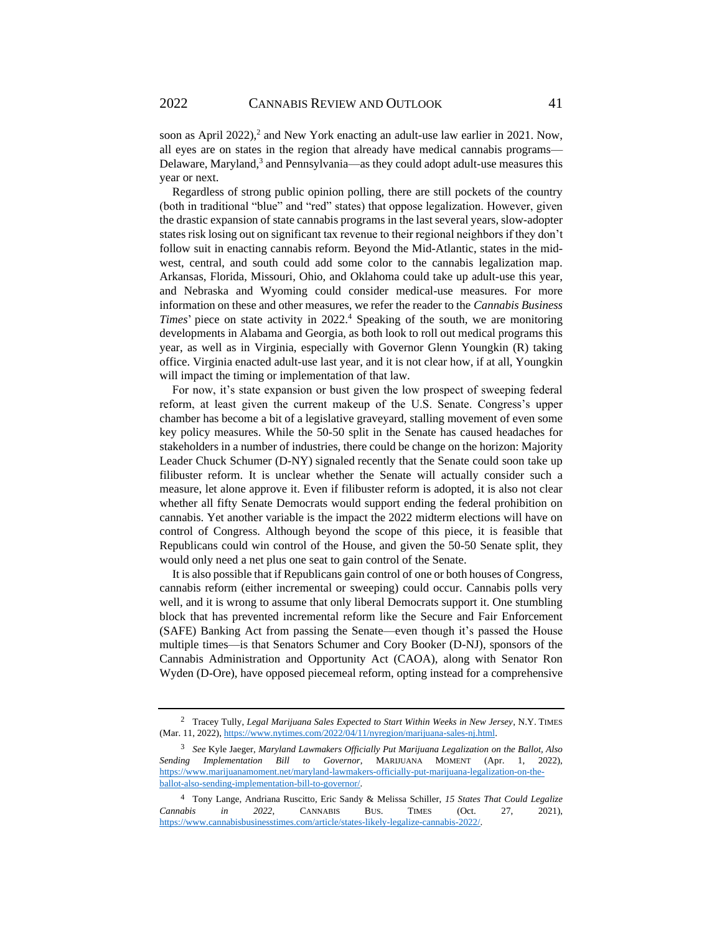soon as April  $2022$ ,<sup>2</sup> and New York enacting an adult-use law earlier in  $2021$ . Now, all eyes are on states in the region that already have medical cannabis programs— Delaware, Maryland,<sup>3</sup> and Pennsylvania—as they could adopt adult-use measures this year or next.

Regardless of strong public opinion polling, there are still pockets of the country (both in traditional "blue" and "red" states) that oppose legalization. However, given the drastic expansion of state cannabis programs in the last several years, slow-adopter states risk losing out on significant tax revenue to their regional neighbors if they don't follow suit in enacting cannabis reform. Beyond the Mid-Atlantic, states in the midwest, central, and south could add some color to the cannabis legalization map. Arkansas, Florida, Missouri, Ohio, and Oklahoma could take up adult-use this year, and Nebraska and Wyoming could consider medical-use measures. For more information on these and other measures, we refer the reader to the *Cannabis Business Times*' piece on state activity in 2022.<sup>4</sup> Speaking of the south, we are monitoring developments in Alabama and Georgia, as both look to roll out medical programs this year, as well as in Virginia, especially with Governor Glenn Youngkin (R) taking office. Virginia enacted adult-use last year, and it is not clear how, if at all, Youngkin will impact the timing or implementation of that law.

For now, it's state expansion or bust given the low prospect of sweeping federal reform, at least given the current makeup of the U.S. Senate. Congress's upper chamber has become a bit of a legislative graveyard, stalling movement of even some key policy measures. While the 50-50 split in the Senate has caused headaches for stakeholders in a number of industries, there could be change on the horizon: Majority Leader Chuck Schumer (D-NY) signaled recently that the Senate could soon take up filibuster reform. It is unclear whether the Senate will actually consider such a measure, let alone approve it. Even if filibuster reform is adopted, it is also not clear whether all fifty Senate Democrats would support ending the federal prohibition on cannabis. Yet another variable is the impact the 2022 midterm elections will have on control of Congress. Although beyond the scope of this piece, it is feasible that Republicans could win control of the House, and given the 50-50 Senate split, they would only need a net plus one seat to gain control of the Senate.

It is also possible that if Republicans gain control of one or both houses of Congress, cannabis reform (either incremental or sweeping) could occur. Cannabis polls very well, and it is wrong to assume that only liberal Democrats support it. One stumbling block that has prevented incremental reform like the Secure and Fair Enforcement (SAFE) Banking Act from passing the Senate—even though it's passed the House multiple times—is that Senators Schumer and Cory Booker (D-NJ), sponsors of the Cannabis Administration and Opportunity Act (CAOA), along with Senator Ron Wyden (D-Ore), have opposed piecemeal reform, opting instead for a comprehensive

<sup>2</sup> Tracey Tully, *Legal Marijuana Sales Expected to Start Within Weeks in New Jersey*, N.Y. TIMES (Mar. 11, 2022), [https://www.nytimes.com/2022/04/11/nyregion/marijuana-sales-nj.html.](https://www.nytimes.com/2022/04/11/nyregion/marijuana-sales-nj.html)

<sup>3</sup> *See* Kyle Jaeger, *Maryland Lawmakers Officially Put Marijuana Legalization on the Ballot, Also Sending Implementation Bill to Governor*, MARIJUANA MOMENT (Apr. 1, 2022), [https://www.marijuanamoment.net/maryland-lawmakers-officially-put-marijuana-legalization-on-the](https://www.marijuanamoment.net/maryland-lawmakers-officially-put-marijuana-legalization-on-the-ballot-also-sending-implementation-bill-to-governor/)[ballot-also-sending-implementation-bill-to-governor/.](https://www.marijuanamoment.net/maryland-lawmakers-officially-put-marijuana-legalization-on-the-ballot-also-sending-implementation-bill-to-governor/)

<sup>4</sup> Tony Lange, Andriana Ruscitto, Eric Sandy & Melissa Schiller, *15 States That Could Legalize Cannabis in 2022*, CANNABIS BUS. TIMES (Oct. 27, 2021), [https://www.cannabisbusinesstimes.com/article/states-likely-legalize-cannabis-2022/.](https://www.cannabisbusinesstimes.com/article/states-likely-legalize-cannabis-2022/)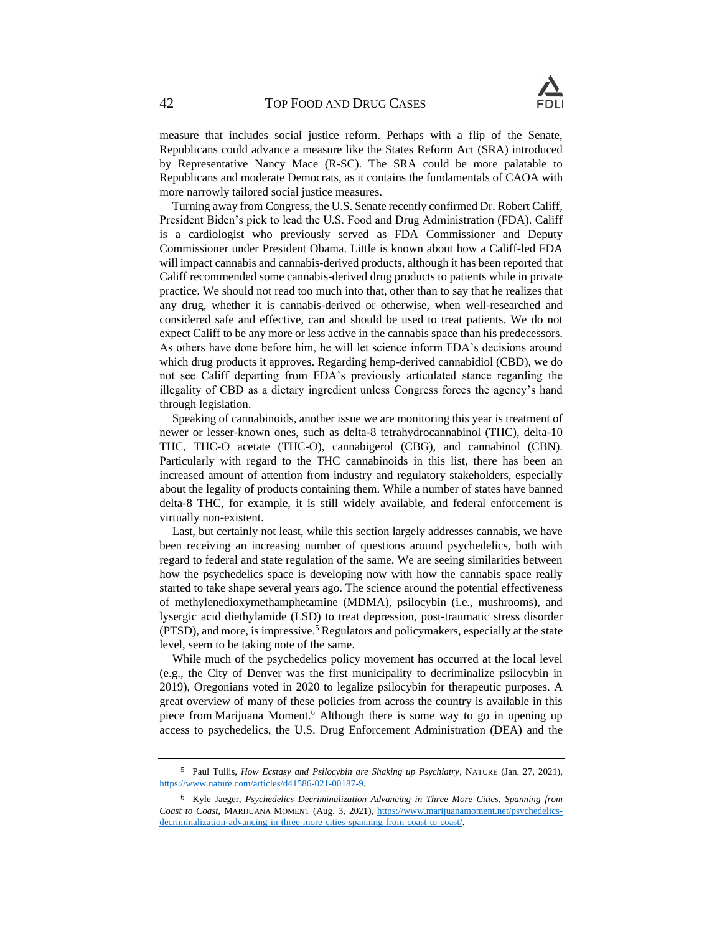

measure that includes social justice reform. Perhaps with a flip of the Senate, Republicans could advance a measure like the States Reform Act (SRA) introduced by Representative Nancy Mace (R-SC). The SRA could be more palatable to Republicans and moderate Democrats, as it contains the fundamentals of CAOA with more narrowly tailored social justice measures.

Turning away from Congress, the U.S. Senate recently confirmed Dr. Robert Califf, President Biden's pick to lead the U.S. Food and Drug Administration (FDA). Califf is a cardiologist who previously served as FDA Commissioner and Deputy Commissioner under President Obama. Little is known about how a Califf-led FDA will impact cannabis and cannabis-derived products, although it has been reported that Califf recommended some cannabis-derived drug products to patients while in private practice. We should not read too much into that, other than to say that he realizes that any drug, whether it is cannabis-derived or otherwise, when well-researched and considered safe and effective, can and should be used to treat patients. We do not expect Califf to be any more or less active in the cannabis space than his predecessors. As others have done before him, he will let science inform FDA's decisions around which drug products it approves. Regarding hemp-derived cannabidiol (CBD), we do not see Califf departing from FDA's previously articulated stance regarding the illegality of CBD as a dietary ingredient unless Congress forces the agency's hand through legislation.

Speaking of cannabinoids, another issue we are monitoring this year is treatment of newer or lesser-known ones, such as delta-8 tetrahydrocannabinol (THC), delta-10 THC, THC-O acetate (THC-O), cannabigerol (CBG), and cannabinol (CBN). Particularly with regard to the THC cannabinoids in this list, there has been an increased amount of attention from industry and regulatory stakeholders, especially about the legality of products containing them. While a number of states have banned delta-8 THC, for example, it is still widely available, and federal enforcement is virtually non-existent.

Last, but certainly not least, while this section largely addresses cannabis, we have been receiving an increasing number of questions around psychedelics, both with regard to federal and state regulation of the same. We are seeing similarities between how the psychedelics space is developing now with how the cannabis space really started to take shape several years ago. The science around the potential effectiveness of methylenedioxymethamphetamine (MDMA), psilocybin (i.e., mushrooms), and lysergic acid diethylamide (LSD) to treat depression, post-traumatic stress disorder  $(PTSD)$ , and more, is impressive.<sup>5</sup> Regulators and policymakers, especially at the state level, seem to be taking note of the same.

While much of the psychedelics policy movement has occurred at the local level (e.g., the City of Denver was the first municipality to decriminalize psilocybin in 2019), Oregonians voted in 2020 to legalize psilocybin for therapeutic purposes. A great overview of many of these policies from across the country is available in this piece from Marijuana Moment. <sup>6</sup> Although there is some way to go in opening up access to psychedelics, the U.S. Drug Enforcement Administration (DEA) and the

<sup>5</sup> Paul Tullis, *How Ecstasy and Psilocybin are Shaking up Psychiatry*, NATURE (Jan. 27, 2021), [https://www.nature.com/articles/d41586-021-00187-9.](https://www.nature.com/articles/d41586-021-00187-9)

<sup>6</sup> Kyle Jaeger, *Psychedelics Decriminalization Advancing in Three More Cities, Spanning from Coast to Coast*, MARIJUANA MOMENT (Aug. 3, 2021), [https://www.marijuanamoment.net/psychedelics](https://www.marijuanamoment.net/psychedelics-decriminalization-advancing-in-three-more-cities-spanning-from-coast-to-coast/)[decriminalization-advancing-in-three-more-cities-spanning-from-coast-to-coast/.](https://www.marijuanamoment.net/psychedelics-decriminalization-advancing-in-three-more-cities-spanning-from-coast-to-coast/)